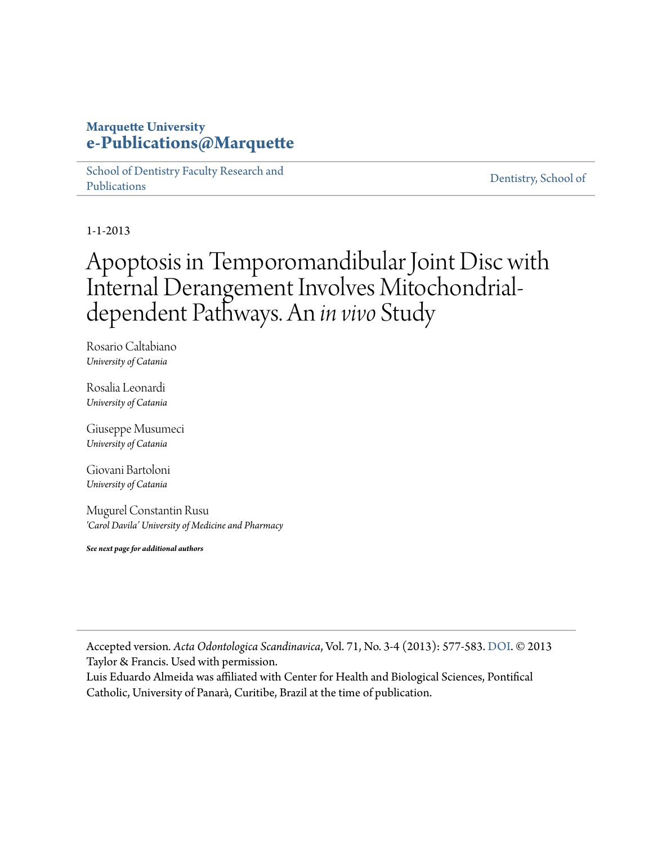## **Marquette University [e-Publications@Marquette](https://epublications.marquette.edu)**

[School of Dentistry Faculty Research and](https://epublications.marquette.edu/dentistry_fac) [Publications](https://epublications.marquette.edu/dentistry_fac)

[Dentistry, School of](https://epublications.marquette.edu/dentistry)

1-1-2013

## Apoptosis in Temporomandibular Joint Disc with Internal Derangement Involves Mitochondrialdependent Pathways. An *in vivo* Study

Rosario Caltabiano *University of Catania*

Rosalia Leonardi *University of Catania*

Giuseppe Musumeci *University of Catania*

Giovani Bartoloni *University of Catania*

Mugurel Constantin Rusu *'Carol Davila' University of Medicine and Pharmacy*

*See next page for additional authors*

Accepted version*. Acta Odontologica Scandinavica*, Vol. 71, No. 3-4 (2013): 577-583. [DOI.](https://doi.org/10.3109/00016357.2012.700060) © 2013 Taylor & Francis. Used with permission.

Luis Eduardo Almeida was affiliated with Center for Health and Biological Sciences, Pontifical Catholic, University of Panarà, Curitibe, Brazil at the time of publication.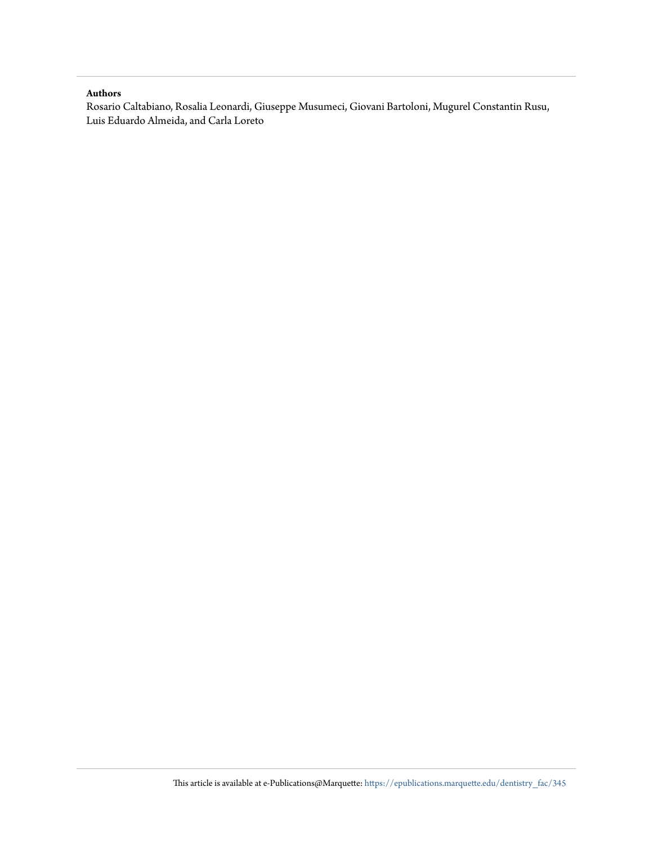#### **Authors**

Rosario Caltabiano, Rosalia Leonardi, Giuseppe Musumeci, Giovani Bartoloni, Mugurel Constantin Rusu, Luis Eduardo Almeida, and Carla Loreto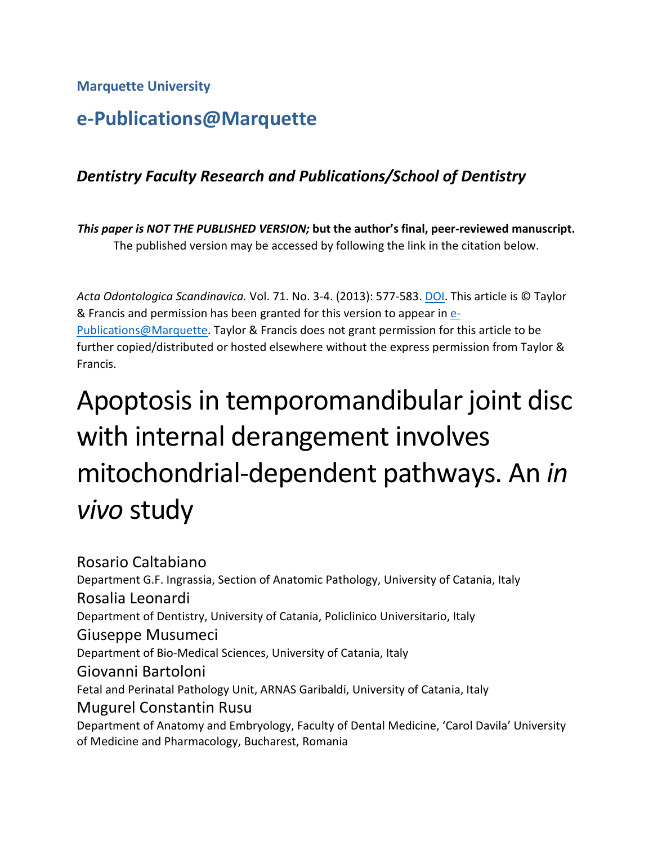**Marquette University**

## **e-Publications@Marquette**

## *Dentistry Faculty Research and Publications/School of Dentistry*

*This paper is NOT THE PUBLISHED VERSION;* **but the author's final, peer-reviewed manuscript.**  The published version may be accessed by following the link in the citation below.

*Acta Odontologica Scandinavica.* Vol. 71. No. 3-4. (2013): 577-583. [DOI.](https://doi.org/10.3109/00016357.2012.700060) This article is © Taylor & Francis and permission has been granted for this version to appear in **e**-[Publications@Marquette.](http://epublications.marquette.edu/) Taylor & Francis does not grant permission for this article to be further copied/distributed or hosted elsewhere without the express permission from Taylor & Francis.

# Apoptosis in temporomandibular joint disc with internal derangement involves mitochondrial-dependent pathways. An *in vivo* study

Rosario Caltabiano Department G.F. Ingrassia, Section of Anatomic Pathology, University of Catania, Italy Rosalia Leonardi Department of Dentistry, University of Catania, Policlinico Universitario, Italy Giuseppe Musumeci Department of Bio-Medical Sciences, University of Catania, Italy Giovanni Bartoloni Fetal and Perinatal Pathology Unit, ARNAS Garibaldi, University of Catania, Italy Mugurel Constantin Rusu Department of Anatomy and Embryology, Faculty of Dental Medicine, 'Carol Davila' University of Medicine and Pharmacology, Bucharest, Romania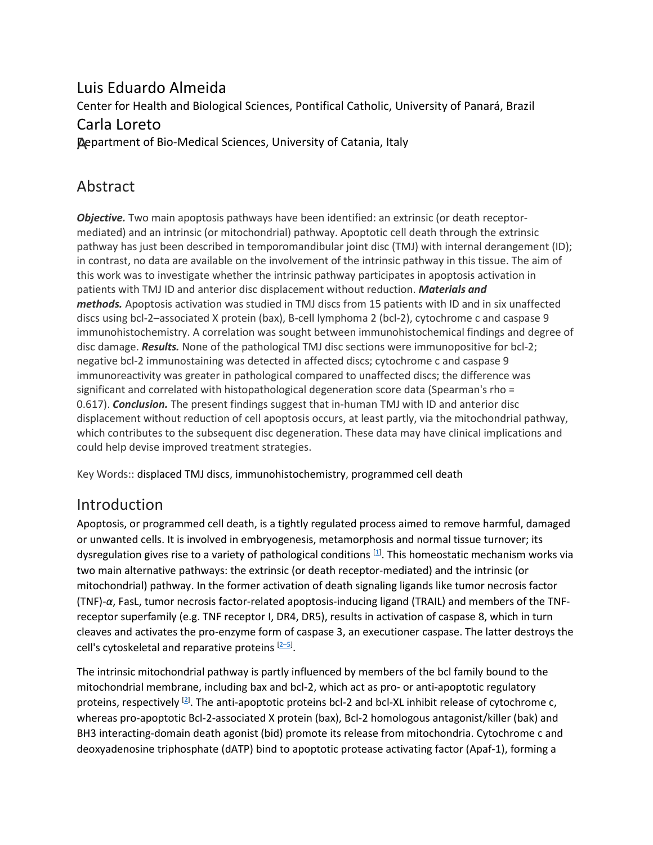## Luis Eduardo Almeida

Center for Health and Biological Sciences, Pontifical Catholic, University of Panará, Brazil

## Carla Loreto

**Department of Bio-Medical Sciences, University of Catania, Italy** 

## Abstract

*Objective.* Two main apoptosis pathways have been identified: an extrinsic (or death receptormediated) and an intrinsic (or mitochondrial) pathway. Apoptotic cell death through the extrinsic pathway has just been described in temporomandibular joint disc (TMJ) with internal derangement (ID); in contrast, no data are available on the involvement of the intrinsic pathway in this tissue. The aim of this work was to investigate whether the intrinsic pathway participates in apoptosis activation in patients with TMJ ID and anterior disc displacement without reduction. *Materials and methods.* Apoptosis activation was studied in TMJ discs from 15 patients with ID and in six unaffected discs using bcl-2–associated X protein (bax), B-cell lymphoma 2 (bcl-2), cytochrome c and caspase 9 immunohistochemistry. A correlation was sought between immunohistochemical findings and degree of disc damage. *Results.* None of the pathological TMJ disc sections were immunopositive for bcl-2; negative bcl-2 immunostaining was detected in affected discs; cytochrome c and caspase 9 immunoreactivity was greater in pathological compared to unaffected discs; the difference was significant and correlated with histopathological degeneration score data (Spearman's rho = 0.617). *Conclusion.* The present findings suggest that in-human TMJ with ID and anterior disc displacement without reduction of cell apoptosis occurs, at least partly, via the mitochondrial pathway, which contributes to the subsequent disc degeneration. These data may have clinical implications and could help devise improved treatment strategies.

Key Words:: displaced TMJ discs, immunohistochemistry, programmed cell death

## Introduction

Apoptosis, or programmed cell death, is a tightly regulated process aimed to remove harmful, damaged or unwanted cells. It is involved in embryogenesis, metamorphosis and normal tissue turnover; its dysregulation gives rise to a variety of pathological conditions [\[1\]](https://www.tandfonline.com/doi/full/10.3109/00016357.2012.700060). This homeostatic mechanism works via two main alternative pathways: the extrinsic (or death receptor-mediated) and the intrinsic (or mitochondrial) pathway. In the former activation of death signaling ligands like tumor necrosis factor (TNF)-*α*, FasL, tumor necrosis factor-related apoptosis-inducing ligand (TRAIL) and members of the TNFreceptor superfamily (e.g. TNF receptor I, DR4, DR5), results in activation of caspase 8, which in turn cleaves and activates the pro-enzyme form of caspase 3, an executioner caspase. The latter destroys the cell's cytoskeletal and reparative proteins <a>[2-5]</a>.

The intrinsic mitochondrial pathway is partly influenced by members of the bcl family bound to the mitochondrial membrane, including bax and bcl-2, which act as pro- or anti-apoptotic regulatory proteins, respectively  $[2]$ . The anti-apoptotic proteins bcl-2 and bcl-XL inhibit release of cytochrome c, whereas pro-apoptotic Bcl-2-associated X protein (bax), Bcl-2 homologous antagonist/killer (bak) and BH3 interacting-domain death agonist (bid) promote its release from mitochondria. Cytochrome c and deoxyadenosine triphosphate (dATP) bind to apoptotic protease activating factor (Apaf-1), forming a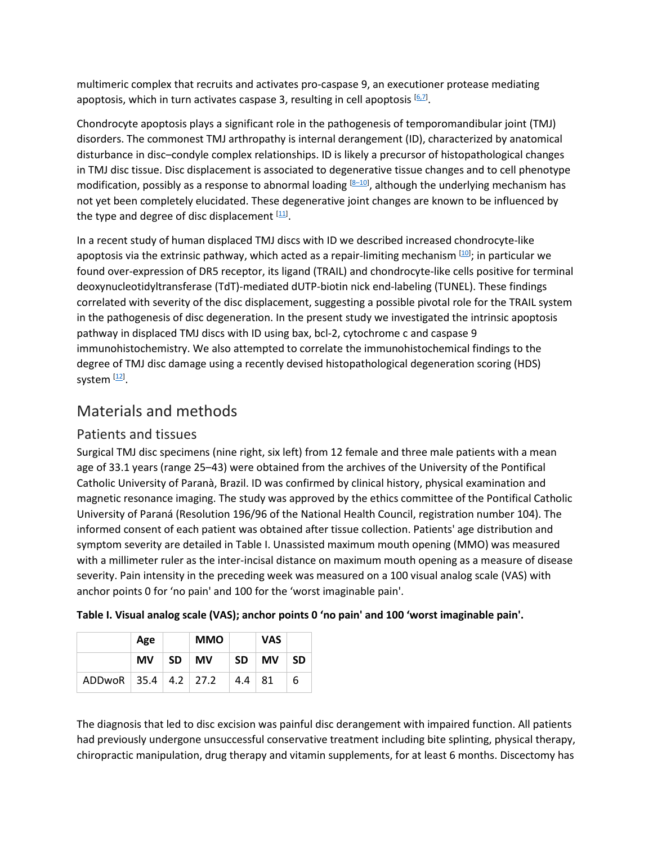multimeric complex that recruits and activates pro-caspase 9, an executioner protease mediating apoptosis, which in turn activates caspase 3, resulting in cell apoptosis [\[6,7\]](https://www.tandfonline.com/doi/full/10.3109/00016357.2012.700060).

Chondrocyte apoptosis plays a significant role in the pathogenesis of temporomandibular joint (TMJ) disorders. The commonest TMJ arthropathy is internal derangement (ID), characterized by anatomical disturbance in disc–condyle complex relationships. ID is likely a precursor of histopathological changes in TMJ disc tissue. Disc displacement is associated to degenerative tissue changes and to cell phenotype modification, possibly as a response to abnormal loading <sup>[8–10]</sup>, although the underlying mechanism has not yet been completely elucidated. These degenerative joint changes are known to be influenced by the type and degree of disc displacement  $[11]$ .

In a recent study of human displaced TMJ discs with ID we described increased chondrocyte-like apoptosis via the extrinsic pathway, which acted as a repair-limiting mechanism  $^{[10]}$ ; in particular we found over-expression of DR5 receptor, its ligand (TRAIL) and chondrocyte-like cells positive for terminal deoxynucleotidyltransferase (TdT)-mediated dUTP-biotin nick end-labeling (TUNEL). These findings correlated with severity of the disc displacement, suggesting a possible pivotal role for the TRAIL system in the pathogenesis of disc degeneration. In the present study we investigated the intrinsic apoptosis pathway in displaced TMJ discs with ID using bax, bcl-2, cytochrome c and caspase 9 immunohistochemistry. We also attempted to correlate the immunohistochemical findings to the degree of TMJ disc damage using a recently devised histopathological degeneration scoring (HDS) system [\[12\]](https://www.tandfonline.com/doi/full/10.3109/00016357.2012.700060).

## Materials and methods

#### Patients and tissues

Surgical TMJ disc specimens (nine right, six left) from 12 female and three male patients with a mean age of 33.1 years (range 25–43) were obtained from the archives of the University of the Pontifical Catholic University of Paranà, Brazil. ID was confirmed by clinical history, physical examination and magnetic resonance imaging. The study was approved by the ethics committee of the Pontifical Catholic University of Paraná (Resolution 196/96 of the National Health Council, registration number 104). The informed consent of each patient was obtained after tissue collection. Patients' age distribution and symptom severity are detailed in Table I. Unassisted maximum mouth opening (MMO) was measured with a millimeter ruler as the inter-incisal distance on maximum mouth opening as a measure of disease severity. Pain intensity in the preceding week was measured on a 100 visual analog scale (VAS) with anchor points 0 for 'no pain' and 100 for the 'worst imaginable pain'.

|                          | Age       |           | <b>MMO</b> |           | <b>VAS</b> |     |
|--------------------------|-----------|-----------|------------|-----------|------------|-----|
|                          | <b>MV</b> | <b>SD</b> | <b>MV</b>  | <b>SD</b> | <b>MV</b>  | -SD |
| ADDwoR 35.4   4.2   27.2 |           |           |            | 4.4       | -81        | 6   |

| Table I. Visual analog scale (VAS); anchor points 0 'no pain' and 100 'worst imaginable pain'. |  |
|------------------------------------------------------------------------------------------------|--|
|------------------------------------------------------------------------------------------------|--|

The diagnosis that led to disc excision was painful disc derangement with impaired function. All patients had previously undergone unsuccessful conservative treatment including bite splinting, physical therapy, chiropractic manipulation, drug therapy and vitamin supplements, for at least 6 months. Discectomy has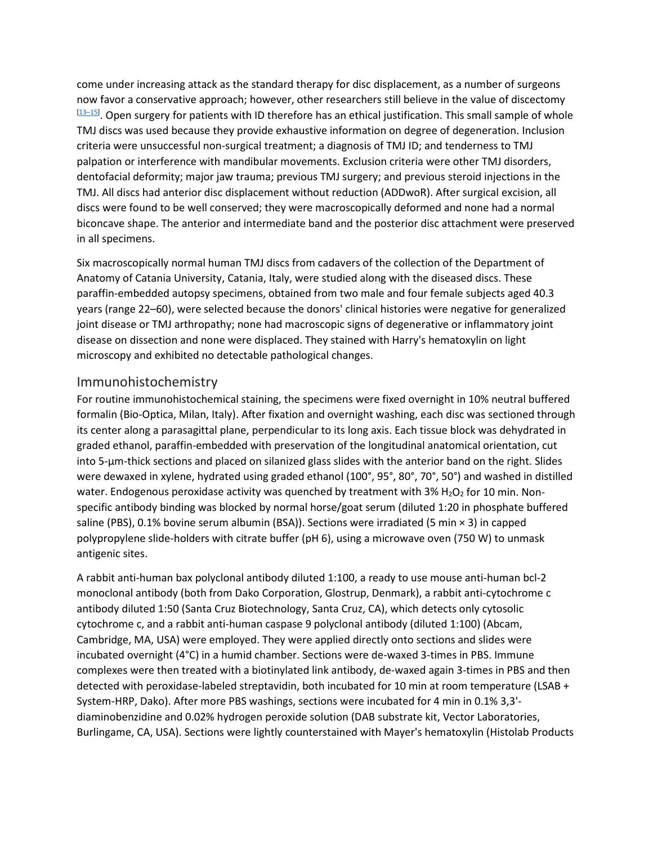come under increasing attack as the standard therapy for disc displacement, as a number of surgeons now favor a conservative approach; however, other researchers still believe in the value of discectomy <sup>[\[13–15\]](https://www.tandfonline.com/doi/full/10.3109/00016357.2012.700060)</sup>. Open surgery for patients with ID therefore has an ethical justification. This small sample of whole TMJ discs was used because they provide exhaustive information on degree of degeneration. Inclusion criteria were unsuccessful non-surgical treatment; a diagnosis of TMJ ID; and tenderness to TMJ palpation or interference with mandibular movements. Exclusion criteria were other TMJ disorders, dentofacial deformity; major jaw trauma; previous TMJ surgery; and previous steroid injections in the TMJ. All discs had anterior disc displacement without reduction (ADDwoR). After surgical excision, all discs were found to be well conserved; they were macroscopically deformed and none had a normal biconcave shape. The anterior and intermediate band and the posterior disc attachment were preserved in all specimens.

Six macroscopically normal human TMJ discs from cadavers of the collection of the Department of Anatomy of Catania University, Catania, Italy, were studied along with the diseased discs. These paraffin-embedded autopsy specimens, obtained from two male and four female subjects aged 40.3 years (range 22–60), were selected because the donors' clinical histories were negative for generalized joint disease or TMJ arthropathy; none had macroscopic signs of degenerative or inflammatory joint disease on dissection and none were displaced. They stained with Harry's hematoxylin on light microscopy and exhibited no detectable pathological changes.

#### Immunohistochemistry

For routine immunohistochemical staining, the specimens were fixed overnight in 10% neutral buffered formalin (Bio-Optica, Milan, Italy). After fixation and overnight washing, each disc was sectioned through its center along a parasagittal plane, perpendicular to its long axis. Each tissue block was dehydrated in graded ethanol, paraffin-embedded with preservation of the longitudinal anatomical orientation, cut into 5-μm-thick sections and placed on silanized glass slides with the anterior band on the right. Slides were dewaxed in xylene, hydrated using graded ethanol (100°, 95°, 80°, 70°, 50°) and washed in distilled water. Endogenous peroxidase activity was quenched by treatment with 3%  $H_2O_2$  for 10 min. Nonspecific antibody binding was blocked by normal horse/goat serum (diluted 1:20 in phosphate buffered saline (PBS), 0.1% bovine serum albumin (BSA)). Sections were irradiated (5 min × 3) in capped polypropylene slide-holders with citrate buffer (pH 6), using a microwave oven (750 W) to unmask antigenic sites.

A rabbit anti-human bax polyclonal antibody diluted 1:100, a ready to use mouse anti-human bcl-2 monoclonal antibody (both from Dako Corporation, Glostrup, Denmark), a rabbit anti-cytochrome c antibody diluted 1:50 (Santa Cruz Biotechnology, Santa Cruz, CA), which detects only cytosolic cytochrome c, and a rabbit anti-human caspase 9 polyclonal antibody (diluted 1:100) (Abcam, Cambridge, MA, USA) were employed. They were applied directly onto sections and slides were incubated overnight (4°C) in a humid chamber. Sections were de-waxed 3-times in PBS. Immune complexes were then treated with a biotinylated link antibody, de-waxed again 3-times in PBS and then detected with peroxidase-labeled streptavidin, both incubated for 10 min at room temperature (LSAB + System-HRP, Dako). After more PBS washings, sections were incubated for 4 min in 0.1% 3,3' diaminobenzidine and 0.02% hydrogen peroxide solution (DAB substrate kit, Vector Laboratories, Burlingame, CA, USA). Sections were lightly counterstained with Mayer's hematoxylin (Histolab Products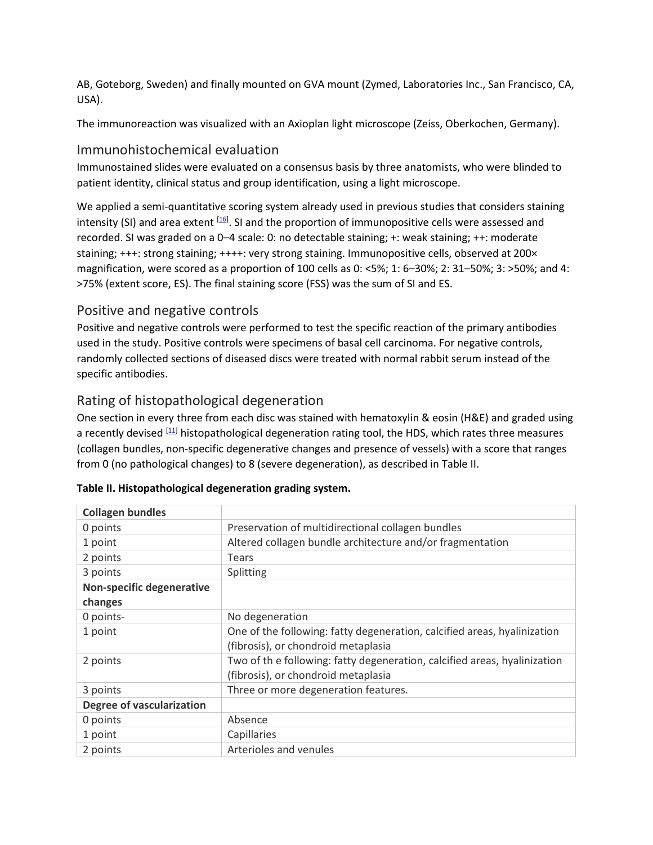AB, Goteborg, Sweden) and finally mounted on GVA mount (Zymed, Laboratories Inc., San Francisco, CA, USA).

The immunoreaction was visualized with an Axioplan light microscope (Zeiss, Oberkochen, Germany).

#### Immunohistochemical evaluation

Immunostained slides were evaluated on a consensus basis by three anatomists, who were blinded to patient identity, clinical status and group identification, using a light microscope.

We applied a semi-quantitative scoring system already used in previous studies that considers staining intensity (SI) and area extent  $^{[16]}$ . SI and the proportion of immunopositive cells were assessed and recorded. SI was graded on a 0–4 scale: 0: no detectable staining; +: weak staining; ++: moderate staining; +++: strong staining; ++++: very strong staining. Immunopositive cells, observed at 200× magnification, were scored as a proportion of 100 cells as 0: <5%; 1: 6–30%; 2: 31–50%; 3: >50%; and 4: >75% (extent score, ES). The final staining score (FSS) was the sum of SI and ES.

#### Positive and negative controls

Positive and negative controls were performed to test the specific reaction of the primary antibodies used in the study. Positive controls were specimens of basal cell carcinoma. For negative controls, randomly collected sections of diseased discs were treated with normal rabbit serum instead of the specific antibodies.

#### Rating of histopathological degeneration

One section in every three from each disc was stained with hematoxylin & eosin (H&E) and graded using a recently devised [\[11\]](https://www.tandfonline.com/doi/full/10.3109/00016357.2012.700060) histopathological degeneration rating tool, the HDS, which rates three measures (collagen bundles, non-specific degenerative changes and presence of vessels) with a score that ranges from 0 (no pathological changes) to 8 (severe degeneration), as described in Table II.

| <b>Collagen bundles</b>          |                                                                          |
|----------------------------------|--------------------------------------------------------------------------|
| 0 points                         | Preservation of multidirectional collagen bundles                        |
| 1 point                          | Altered collagen bundle architecture and/or fragmentation                |
| 2 points                         | Tears                                                                    |
| 3 points                         | Splitting                                                                |
| Non-specific degenerative        |                                                                          |
| changes                          |                                                                          |
| 0 points-                        | No degeneration                                                          |
| 1 point                          | One of the following: fatty degeneration, calcified areas, hyalinization |
|                                  | (fibrosis), or chondroid metaplasia                                      |
| 2 points                         | Two of the following: fatty degeneration, calcified areas, hyalinization |
|                                  | (fibrosis), or chondroid metaplasia                                      |
| 3 points                         | Three or more degeneration features.                                     |
| <b>Degree of vascularization</b> |                                                                          |
| 0 points                         | Absence                                                                  |
| 1 point                          | Capillaries                                                              |
| 2 points                         | Arterioles and venules                                                   |

#### **Table II. Histopathological degeneration grading system.**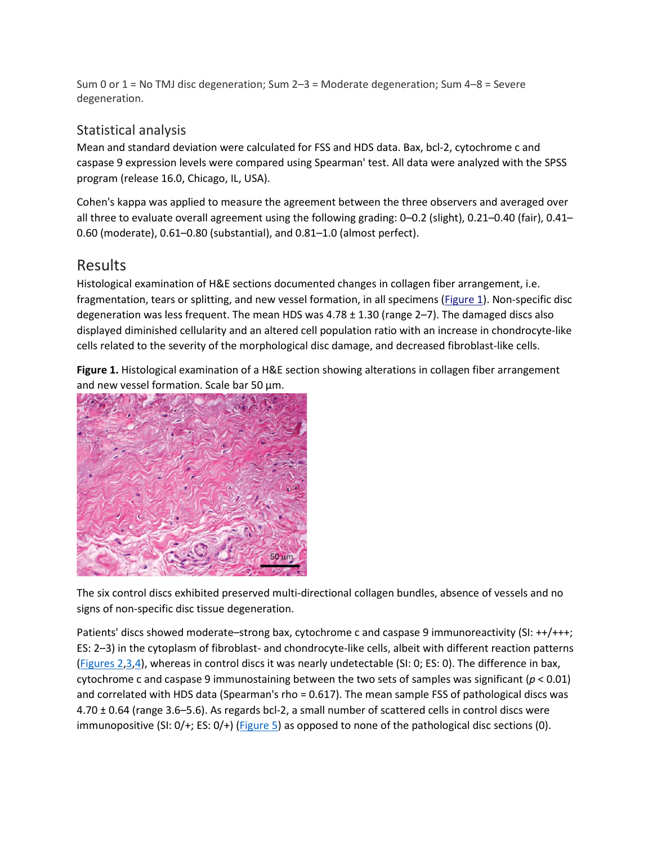Sum 0 or 1 = No TMJ disc degeneration; Sum 2–3 = Moderate degeneration; Sum 4–8 = Severe degeneration.

#### Statistical analysis

Mean and standard deviation were calculated for FSS and HDS data. Bax, bcl-2, cytochrome c and caspase 9 expression levels were compared using Spearman' test. All data were analyzed with the SPSS program (release 16.0, Chicago, IL, USA).

Cohen's kappa was applied to measure the agreement between the three observers and averaged over all three to evaluate overall agreement using the following grading: 0–0.2 (slight), 0.21–0.40 (fair), 0.41– 0.60 (moderate), 0.61–0.80 (substantial), and 0.81–1.0 (almost perfect).

## Results

Histological examination of H&E sections documented changes in collagen fiber arrangement, i.e. fragmentation, tears or splitting, and new vessel formation, in all specimens [\(Figure 1\)](https://www.tandfonline.com/doi/full/10.3109/00016357.2012.700060#F0001). Non-specific disc degeneration was less frequent. The mean HDS was  $4.78 \pm 1.30$  (range  $2-7$ ). The damaged discs also displayed diminished cellularity and an altered cell population ratio with an increase in chondrocyte-like cells related to the severity of the morphological disc damage, and decreased fibroblast-like cells.

**Figure 1.** Histological examination of a H&E section showing alterations in collagen fiber arrangement and new vessel formation. Scale bar 50  $\mu$ m.



The six control discs exhibited preserved multi-directional collagen bundles, absence of vessels and no signs of non-specific disc tissue degeneration.

Patients' discs showed moderate–strong bax, cytochrome c and caspase 9 immunoreactivity (SI: ++/+++; ES: 2–3) in the cytoplasm of fibroblast- and chondrocyte-like cells, albeit with different reaction patterns [\(Figures 2](https://www.tandfonline.com/doi/full/10.3109/00016357.2012.700060#F0002)[,3](https://www.tandfonline.com/doi/full/10.3109/00016357.2012.700060#F0003)[,4\)](https://www.tandfonline.com/doi/full/10.3109/00016357.2012.700060#F0004), whereas in control discs it was nearly undetectable (SI: 0; ES: 0). The difference in bax, cytochrome c and caspase 9 immunostaining between the two sets of samples was significant ( $p < 0.01$ ) and correlated with HDS data (Spearman's rho = 0.617). The mean sample FSS of pathological discs was 4.70 ± 0.64 (range 3.6–5.6). As regards bcl-2, a small number of scattered cells in control discs were immunopositive (SI: 0/+; ES: 0/+) [\(Figure 5\)](https://www.tandfonline.com/doi/full/10.3109/00016357.2012.700060#F0005) as opposed to none of the pathological disc sections (0).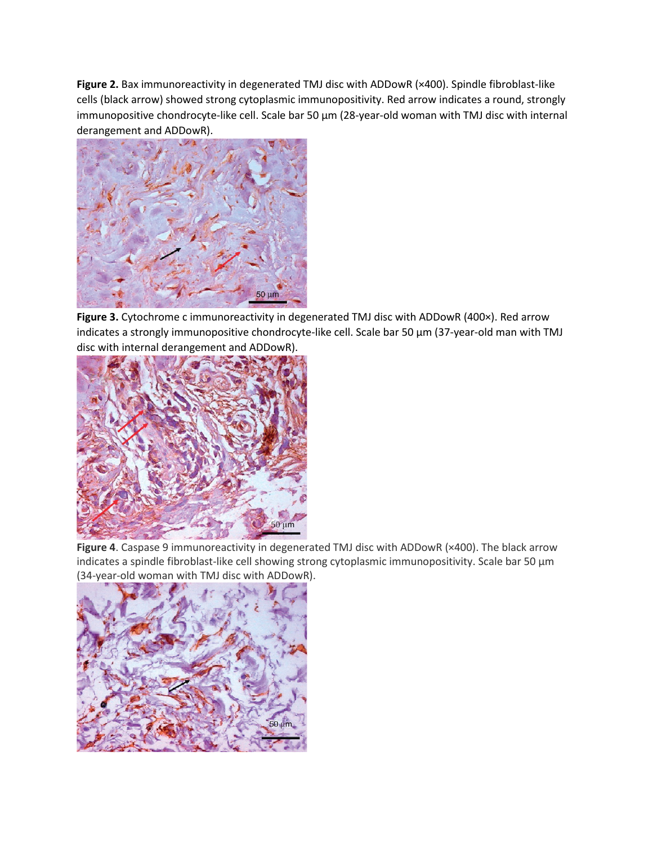**Figure 2.** Bax immunoreactivity in degenerated TMJ disc with ADDowR (×400). Spindle fibroblast-like cells (black arrow) showed strong cytoplasmic immunopositivity. Red arrow indicates a round, strongly immunopositive chondrocyte-like cell. Scale bar 50 µm (28-year-old woman with TMJ disc with internal derangement and ADDowR).



**Figure 3.** Cytochrome c immunoreactivity in degenerated TMJ disc with ADDowR (400×). Red arrow indicates a strongly immunopositive chondrocyte-like cell. Scale bar 50 µm (37-year-old man with TMJ disc with internal derangement and ADDowR).



**Figure 4**. Caspase 9 immunoreactivity in degenerated TMJ disc with ADDowR (×400). The black arrow indicates a spindle fibroblast-like cell showing strong cytoplasmic immunopositivity. Scale bar 50 µm (34-year-old woman with TMJ disc with ADDowR).

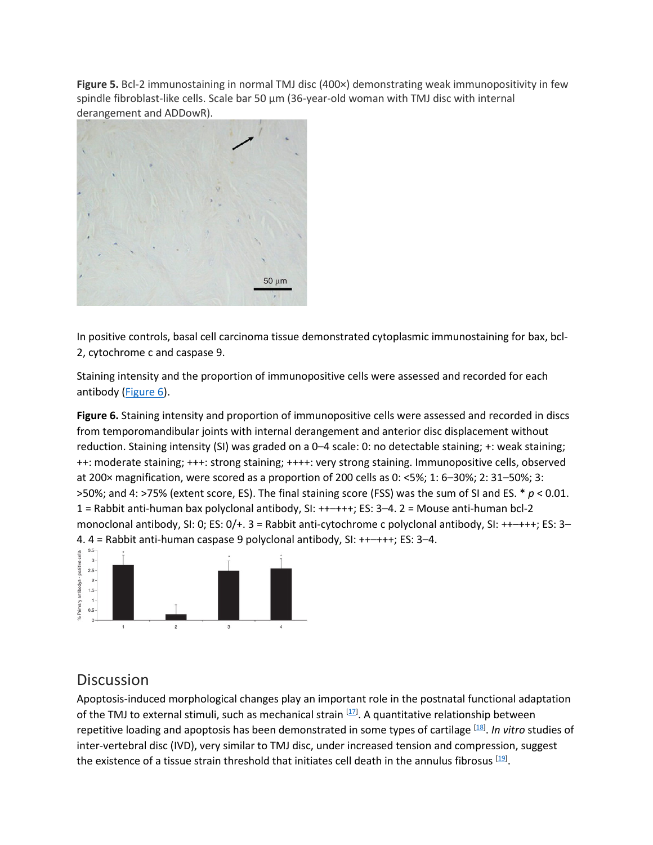**Figure 5.** Bcl-2 immunostaining in normal TMJ disc (400×) demonstrating weak immunopositivity in few spindle fibroblast-like cells. Scale bar 50 µm (36-year-old woman with TMJ disc with internal derangement and ADDowR)[.](https://www.tandfonline.com/doi/full/10.3109/00016357.2012.700060)



In positive controls, basal cell carcinoma tissue demonstrated cytoplasmic immunostaining for bax, bcl-2, cytochrome c and caspase 9.

Staining intensity and the proportion of immunopositive cells were assessed and recorded for each antibody [\(Figure 6\)](https://www.tandfonline.com/doi/full/10.3109/00016357.2012.700060#F0006).

**Figure 6.** Staining intensity and proportion of immunopositive cells were assessed and recorded in discs from temporomandibular joints with internal derangement and anterior disc displacement without reduction. Staining intensity (SI) was graded on a 0–4 scale: 0: no detectable staining; +: weak staining; ++: moderate staining; +++: strong staining; ++++: very strong staining. Immunopositive cells, observed at 200× magnification, were scored as a proportion of 200 cells as 0: <5%; 1: 6–30%; 2: 31–50%; 3: >50%; and 4: >75% (extent score, ES). The final staining score (FSS) was the sum of SI and ES. \* *p* < 0.01. 1 = Rabbit anti-human bax polyclonal antibody, SI: ++–+++; ES: 3–4. 2 = Mouse anti-human bcl-2 monoclonal antibody, SI: 0; ES: 0/+. 3 = Rabbit anti-cytochrome c polyclonal antibody, SI: ++–+++; ES: 3– 4. 4 = Rabbit anti-human caspase 9 polyclonal antibody, SI: ++–+++; ES: 3–4.



### **Discussion**

Apoptosis-induced morphological changes play an important role in the postnatal functional adaptation of the TMJ to external stimuli, such as mechanical strain <sup>[17]</sup>. A quantitative relationship between repetitive loading and apoptosis has been demonstrated in some types of cartilage [\[18\]](https://www.tandfonline.com/doi/full/10.3109/00016357.2012.700060) . *In vitro* studies of inter-vertebral disc (IVD), very similar to TMJ disc, under increased tension and compression, suggest the existence of a tissue strain threshold that initiates cell death in the annulus fibrosus [\[19\]](https://www.tandfonline.com/doi/full/10.3109/00016357.2012.700060).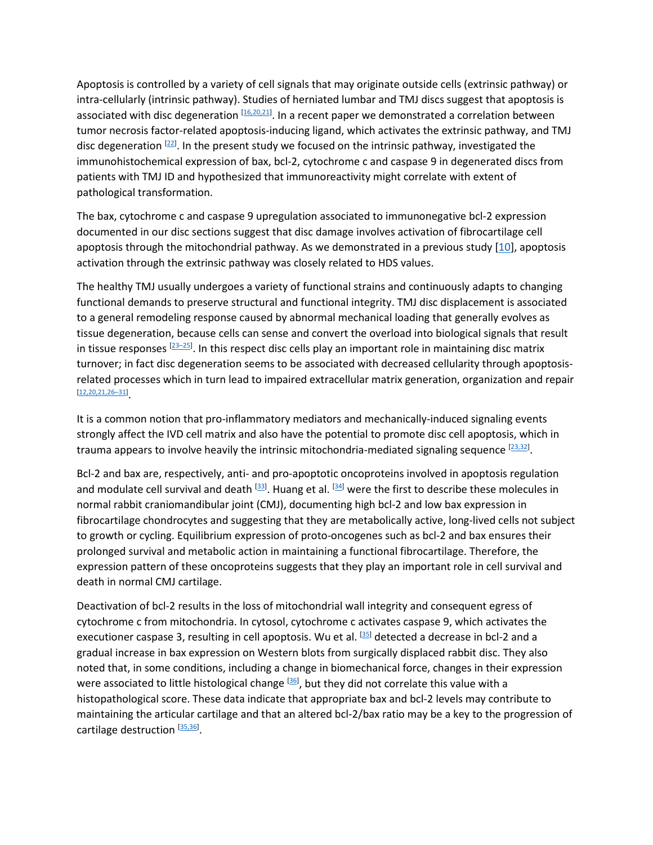Apoptosis is controlled by a variety of cell signals that may originate outside cells (extrinsic pathway) or intra-cellularly (intrinsic pathway). Studies of herniated lumbar and TMJ discs suggest that apoptosis is associated with disc degeneration <sup>[16,20,21]</sup>. In a recent paper we demonstrated a correlation between tumor necrosis factor-related apoptosis-inducing ligand, which activates the extrinsic pathway, and TMJ disc degeneration [\[22\]](https://www.tandfonline.com/doi/full/10.3109/00016357.2012.700060). In the present study we focused on the intrinsic pathway, investigated the immunohistochemical expression of bax, bcl-2, cytochrome c and caspase 9 in degenerated discs from patients with TMJ ID and hypothesized that immunoreactivity might correlate with extent of pathological transformation.

The bax, cytochrome c and caspase 9 upregulation associated to immunonegative bcl-2 expression documented in our disc sections suggest that disc damage involves activation of fibrocartilage cell apoptosis through the mitochondrial pathway. As we demonstrated in a previous study [\[10\]](https://www.tandfonline.com/doi/full/10.3109/00016357.2012.700060), apoptosis activation through the extrinsic pathway was closely related to HDS values.

The healthy TMJ usually undergoes a variety of functional strains and continuously adapts to changing functional demands to preserve structural and functional integrity. TMJ disc displacement is associated to a general remodeling response caused by abnormal mechanical loading that generally evolves as tissue degeneration, because cells can sense and convert the overload into biological signals that result in tissue responses  $^{[23-25]}$ . In this respect disc cells play an important role in maintaining disc matrix turnover; in fact disc degeneration seems to be associated with decreased cellularity through apoptosisrelated processes which in turn lead to impaired extracellular matrix generation, organization and repair [\[12,20,21,26–31\]](https://www.tandfonline.com/doi/full/10.3109/00016357.2012.700060) .

It is a common notion that pro-inflammatory mediators and mechanically-induced signaling events strongly affect the IVD cell matrix and also have the potential to promote disc cell apoptosis, which in trauma appears to involve heavily the intrinsic mitochondria-mediated signaling sequence [23.32].

Bcl-2 and bax are, respectively, anti- and pro-apoptotic oncoproteins involved in apoptosis regulation and modulate cell survival and death <sup>[33]</sup>. Huang et al. <sup>[\[34\]](https://www.tandfonline.com/doi/full/10.3109/00016357.2012.700060)</sup> were the first to describe these molecules in normal rabbit craniomandibular joint (CMJ), documenting high bcl-2 and low bax expression in fibrocartilage chondrocytes and suggesting that they are metabolically active, long-lived cells not subject to growth or cycling. Equilibrium expression of proto-oncogenes such as bcl-2 and bax ensures their prolonged survival and metabolic action in maintaining a functional fibrocartilage. Therefore, the expression pattern of these oncoproteins suggests that they play an important role in cell survival and death in normal CMJ cartilage.

Deactivation of bcl-2 results in the loss of mitochondrial wall integrity and consequent egress of cytochrome c from mitochondria. In cytosol, cytochrome c activates caspase 9, which activates the executioner caspase 3, resulting in cell apoptosis. Wu et al. <sup>[35]</sup> detected a decrease in bcl-2 and a gradual increase in bax expression on Western blots from surgically displaced rabbit disc. They also noted that, in some conditions, including a change in biomechanical force, changes in their expression were associated to little histological change <sup>[36]</sup>, but they did not correlate this value with a histopathological score. These data indicate that appropriate bax and bcl-2 levels may contribute to maintaining the articular cartilage and that an altered bcl-2/bax ratio may be a key to the progression of cartilage destruction [\[35,36\]](https://www.tandfonline.com/doi/full/10.3109/00016357.2012.700060).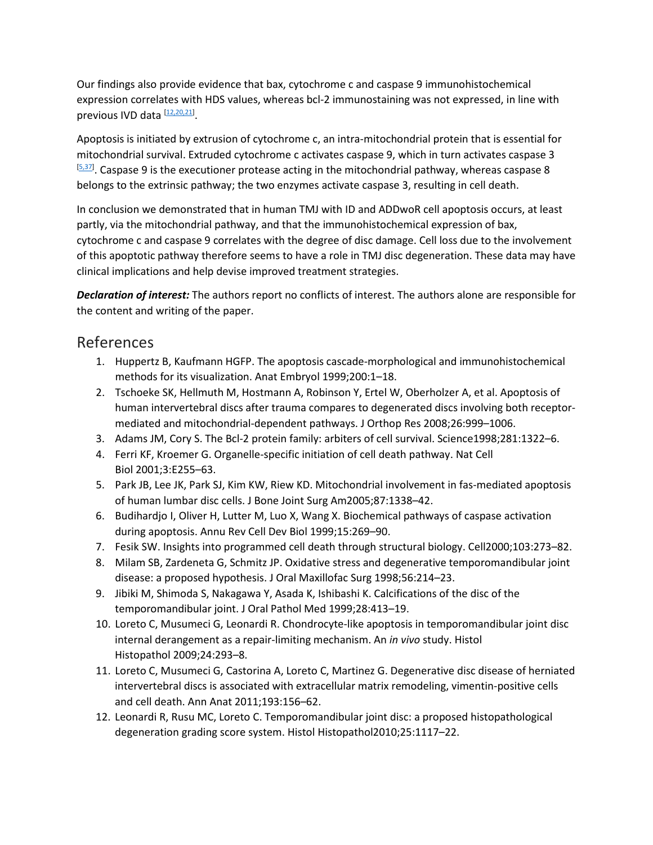Our findings also provide evidence that bax, cytochrome c and caspase 9 immunohistochemical expression correlates with HDS values, whereas bcl-2 immunostaining was not expressed, in line with previous IVD data [\[12,20,21\]](https://www.tandfonline.com/doi/full/10.3109/00016357.2012.700060).

Apoptosis is initiated by extrusion of cytochrome c, an intra-mitochondrial protein that is essential for mitochondrial survival. Extruded cytochrome c activates caspase 9, which in turn activates caspase 3 [\[5,37\]](https://www.tandfonline.com/doi/full/10.3109/00016357.2012.700060). Caspase 9 is the executioner protease acting in the mitochondrial pathway, whereas caspase 8 belongs to the extrinsic pathway; the two enzymes activate caspase 3, resulting in cell death.

In conclusion we demonstrated that in human TMJ with ID and ADDwoR cell apoptosis occurs, at least partly, via the mitochondrial pathway, and that the immunohistochemical expression of bax, cytochrome c and caspase 9 correlates with the degree of disc damage. Cell loss due to the involvement of this apoptotic pathway therefore seems to have a role in TMJ disc degeneration. These data may have clinical implications and help devise improved treatment strategies.

*Declaration of interest:* The authors report no conflicts of interest. The authors alone are responsible for the content and writing of the paper.

#### References

- 1. Huppertz B, Kaufmann HGFP. The apoptosis cascade-morphological and immunohistochemical methods for its visualization. Anat Embryol 1999;200:1–18.
- 2. Tschoeke SK, Hellmuth M, Hostmann A, Robinson Y, Ertel W, Oberholzer A, et al. Apoptosis of human intervertebral discs after trauma compares to degenerated discs involving both receptormediated and mitochondrial-dependent pathways. J Orthop Res 2008;26:999–1006.
- 3. Adams JM, Cory S. The Bcl-2 protein family: arbiters of cell survival. Science1998;281:1322–6.
- 4. Ferri KF, Kroemer G. Organelle-specific initiation of cell death pathway. Nat Cell Biol 2001;3:E255–63.
- 5. Park JB, Lee JK, Park SJ, Kim KW, Riew KD. Mitochondrial involvement in fas-mediated apoptosis of human lumbar disc cells. J Bone Joint Surg Am2005;87:1338–42.
- 6. Budihardjo I, Oliver H, Lutter M, Luo X, Wang X. Biochemical pathways of caspase activation during apoptosis. Annu Rev Cell Dev Biol 1999;15:269–90.
- 7. Fesik SW. Insights into programmed cell death through structural biology. Cell2000;103:273–82.
- 8. Milam SB, Zardeneta G, Schmitz JP. Oxidative stress and degenerative temporomandibular joint disease: a proposed hypothesis. J Oral Maxillofac Surg 1998;56:214–23.
- 9. Jibiki M, Shimoda S, Nakagawa Y, Asada K, Ishibashi K. Calcifications of the disc of the temporomandibular joint. J Oral Pathol Med 1999;28:413–19.
- 10. Loreto C, Musumeci G, Leonardi R. Chondrocyte-like apoptosis in temporomandibular joint disc internal derangement as a repair-limiting mechanism. An *in vivo* study. Histol Histopathol 2009;24:293–8.
- 11. Loreto C, Musumeci G, Castorina A, Loreto C, Martinez G. Degenerative disc disease of herniated intervertebral discs is associated with extracellular matrix remodeling, vimentin-positive cells and cell death. Ann Anat 2011;193:156–62.
- 12. Leonardi R, Rusu MC, Loreto C. Temporomandibular joint disc: a proposed histopathological degeneration grading score system. Histol Histopathol2010;25:1117–22.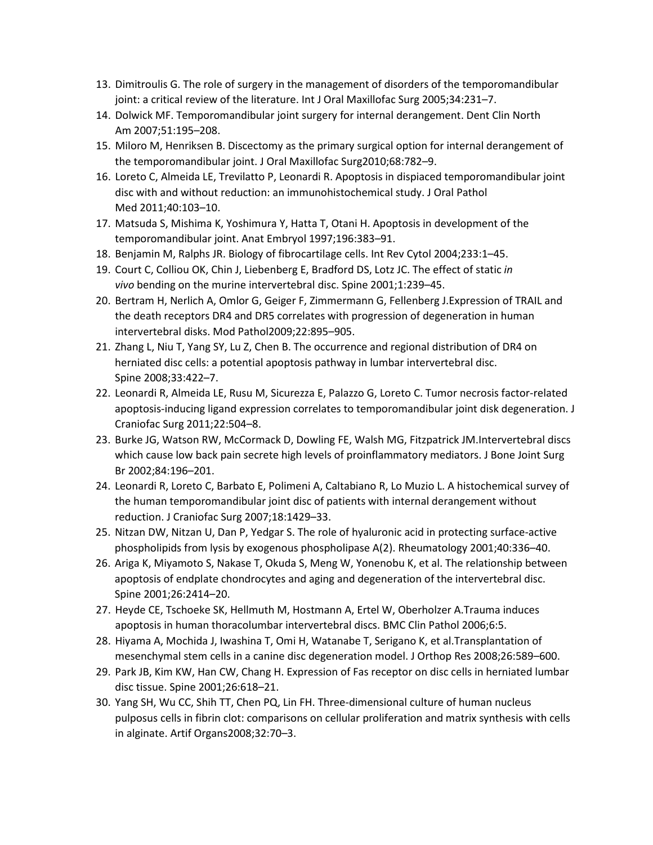- 13. Dimitroulis G. The role of surgery in the management of disorders of the temporomandibular joint: a critical review of the literature. Int J Oral Maxillofac Surg 2005;34:231–7.
- 14. Dolwick MF. Temporomandibular joint surgery for internal derangement. Dent Clin North Am 2007;51:195–208.
- 15. Miloro M, Henriksen B. Discectomy as the primary surgical option for internal derangement of the temporomandibular joint. J Oral Maxillofac Surg2010;68:782–9.
- 16. Loreto C, Almeida LE, Trevilatto P, Leonardi R. Apoptosis in dispiaced temporomandibular joint disc with and without reduction: an immunohistochemical study. J Oral Pathol Med 2011;40:103–10.
- 17. Matsuda S, Mishima K, Yoshimura Y, Hatta T, Otani H. Apoptosis in development of the temporomandibular joint. Anat Embryol 1997;196:383–91.
- 18. Benjamin M, Ralphs JR. Biology of fibrocartilage cells. Int Rev Cytol 2004;233:1–45.
- 19. Court C, Colliou OK, Chin J, Liebenberg E, Bradford DS, Lotz JC. The effect of static *in vivo* bending on the murine intervertebral disc. Spine 2001;1:239–45.
- 20. Bertram H, Nerlich A, Omlor G, Geiger F, Zimmermann G, Fellenberg J.Expression of TRAIL and the death receptors DR4 and DR5 correlates with progression of degeneration in human intervertebral disks. Mod Pathol2009;22:895–905.
- 21. Zhang L, Niu T, Yang SY, Lu Z, Chen B. The occurrence and regional distribution of DR4 on herniated disc cells: a potential apoptosis pathway in lumbar intervertebral disc. Spine 2008;33:422–7.
- 22. Leonardi R, Almeida LE, Rusu M, Sicurezza E, Palazzo G, Loreto C. Tumor necrosis factor-related apoptosis-inducing ligand expression correlates to temporomandibular joint disk degeneration. J Craniofac Surg 2011;22:504–8.
- 23. Burke JG, Watson RW, McCormack D, Dowling FE, Walsh MG, Fitzpatrick JM.Intervertebral discs which cause low back pain secrete high levels of proinflammatory mediators. J Bone Joint Surg Br 2002;84:196–201.
- 24. Leonardi R, Loreto C, Barbato E, Polimeni A, Caltabiano R, Lo Muzio L. A histochemical survey of the human temporomandibular joint disc of patients with internal derangement without reduction. J Craniofac Surg 2007;18:1429–33.
- 25. Nitzan DW, Nitzan U, Dan P, Yedgar S. The role of hyaluronic acid in protecting surface-active phospholipids from lysis by exogenous phospholipase A(2). Rheumatology 2001;40:336–40.
- 26. Ariga K, Miyamoto S, Nakase T, Okuda S, Meng W, Yonenobu K, et al. The relationship between apoptosis of endplate chondrocytes and aging and degeneration of the intervertebral disc. Spine 2001;26:2414–20.
- 27. Heyde CE, Tschoeke SK, Hellmuth M, Hostmann A, Ertel W, Oberholzer A.Trauma induces apoptosis in human thoracolumbar intervertebral discs. BMC Clin Pathol 2006;6:5.
- 28. Hiyama A, Mochida J, Iwashina T, Omi H, Watanabe T, Serigano K, et al.Transplantation of mesenchymal stem cells in a canine disc degeneration model. J Orthop Res 2008;26:589–600.
- 29. Park JB, Kim KW, Han CW, Chang H. Expression of Fas receptor on disc cells in herniated lumbar disc tissue. Spine 2001;26:618–21.
- 30. Yang SH, Wu CC, Shih TT, Chen PQ, Lin FH. Three-dimensional culture of human nucleus pulposus cells in fibrin clot: comparisons on cellular proliferation and matrix synthesis with cells in alginate. Artif Organs2008;32:70–3.